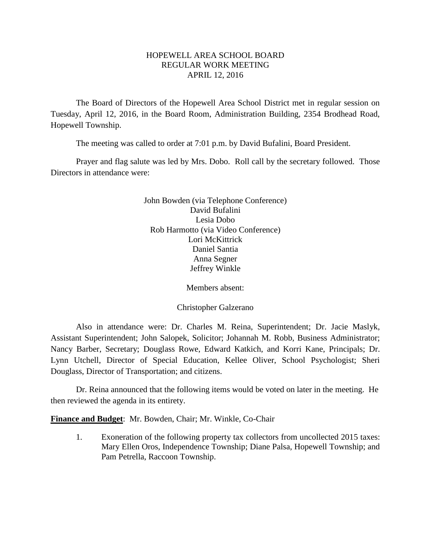## HOPEWELL AREA SCHOOL BOARD REGULAR WORK MEETING APRIL 12, 2016

The Board of Directors of the Hopewell Area School District met in regular session on Tuesday, April 12, 2016, in the Board Room, Administration Building, 2354 Brodhead Road, Hopewell Township.

The meeting was called to order at 7:01 p.m. by David Bufalini, Board President.

Prayer and flag salute was led by Mrs. Dobo. Roll call by the secretary followed. Those Directors in attendance were:

> John Bowden (via Telephone Conference) David Bufalini Lesia Dobo Rob Harmotto (via Video Conference) Lori McKittrick Daniel Santia Anna Segner Jeffrey Winkle

> > Members absent:

Christopher Galzerano

Also in attendance were: Dr. Charles M. Reina, Superintendent; Dr. Jacie Maslyk, Assistant Superintendent; John Salopek, Solicitor; Johannah M. Robb, Business Administrator; Nancy Barber, Secretary; Douglass Rowe, Edward Katkich, and Korri Kane, Principals; Dr. Lynn Utchell, Director of Special Education, Kellee Oliver, School Psychologist; Sheri Douglass, Director of Transportation; and citizens.

Dr. Reina announced that the following items would be voted on later in the meeting. He then reviewed the agenda in its entirety.

**Finance and Budget**: Mr. Bowden, Chair; Mr. Winkle, Co-Chair

1. Exoneration of the following property tax collectors from uncollected 2015 taxes: Mary Ellen Oros, Independence Township; Diane Palsa, Hopewell Township; and Pam Petrella, Raccoon Township.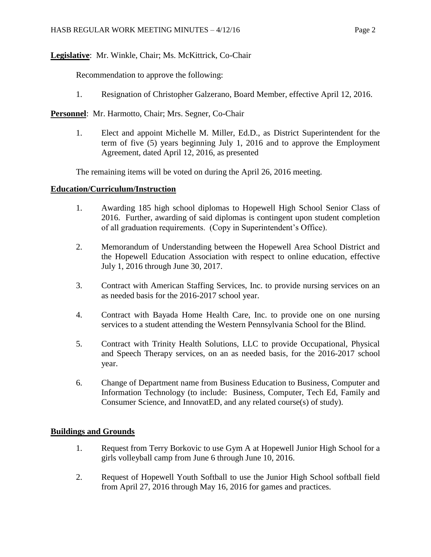# **Legislative**: Mr. Winkle, Chair; Ms. McKittrick, Co-Chair

Recommendation to approve the following:

1. Resignation of Christopher Galzerano, Board Member, effective April 12, 2016.

**Personnel**: Mr. Harmotto, Chair; Mrs. Segner, Co-Chair

1. Elect and appoint Michelle M. Miller, Ed.D., as District Superintendent for the term of five (5) years beginning July 1, 2016 and to approve the Employment Agreement, dated April 12, 2016, as presented

The remaining items will be voted on during the April 26, 2016 meeting.

## **Education/Curriculum/Instruction**

- 1. Awarding 185 high school diplomas to Hopewell High School Senior Class of 2016. Further, awarding of said diplomas is contingent upon student completion of all graduation requirements. (Copy in Superintendent's Office).
- 2. Memorandum of Understanding between the Hopewell Area School District and the Hopewell Education Association with respect to online education, effective July 1, 2016 through June 30, 2017.
- 3. Contract with American Staffing Services, Inc. to provide nursing services on an as needed basis for the 2016-2017 school year.
- 4. Contract with Bayada Home Health Care, Inc. to provide one on one nursing services to a student attending the Western Pennsylvania School for the Blind.
- 5. Contract with Trinity Health Solutions, LLC to provide Occupational, Physical and Speech Therapy services, on an as needed basis, for the 2016-2017 school year.
- 6. Change of Department name from Business Education to Business, Computer and Information Technology (to include: Business, Computer, Tech Ed, Family and Consumer Science, and InnovatED, and any related course(s) of study).

# **Buildings and Grounds**

- 1. Request from Terry Borkovic to use Gym A at Hopewell Junior High School for a girls volleyball camp from June 6 through June 10, 2016.
- 2. Request of Hopewell Youth Softball to use the Junior High School softball field from April 27, 2016 through May 16, 2016 for games and practices.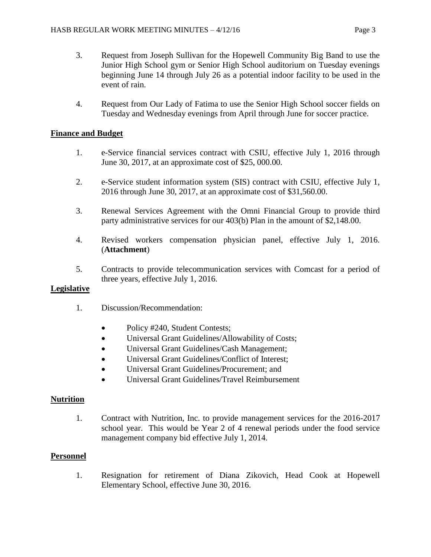- 3. Request from Joseph Sullivan for the Hopewell Community Big Band to use the Junior High School gym or Senior High School auditorium on Tuesday evenings beginning June 14 through July 26 as a potential indoor facility to be used in the event of rain.
- 4. Request from Our Lady of Fatima to use the Senior High School soccer fields on Tuesday and Wednesday evenings from April through June for soccer practice.

# **Finance and Budget**

- 1. e-Service financial services contract with CSIU, effective July 1, 2016 through June 30, 2017, at an approximate cost of \$25, 000.00.
- 2. e-Service student information system (SIS) contract with CSIU, effective July 1, 2016 through June 30, 2017, at an approximate cost of \$31,560.00.
- 3. Renewal Services Agreement with the Omni Financial Group to provide third party administrative services for our 403(b) Plan in the amount of \$2,148.00.
- 4. Revised workers compensation physician panel, effective July 1, 2016. (**Attachment**)
- 5. Contracts to provide telecommunication services with Comcast for a period of three years, effective July 1, 2016.

## **Legislative**

- 1. Discussion/Recommendation:
	- Policy #240, Student Contests;
	- Universal Grant Guidelines/Allowability of Costs;
	- Universal Grant Guidelines/Cash Management;
	- Universal Grant Guidelines/Conflict of Interest;
	- Universal Grant Guidelines/Procurement: and
	- Universal Grant Guidelines/Travel Reimbursement

## **Nutrition**

1. Contract with Nutrition, Inc. to provide management services for the 2016-2017 school year. This would be Year 2 of 4 renewal periods under the food service management company bid effective July 1, 2014.

## **Personnel**

1. Resignation for retirement of Diana Zikovich, Head Cook at Hopewell Elementary School, effective June 30, 2016.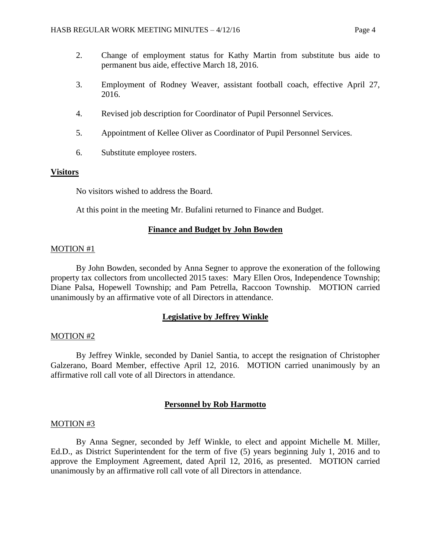- 2. Change of employment status for Kathy Martin from substitute bus aide to permanent bus aide, effective March 18, 2016.
- 3. Employment of Rodney Weaver, assistant football coach, effective April 27, 2016.
- 4. Revised job description for Coordinator of Pupil Personnel Services.
- 5. Appointment of Kellee Oliver as Coordinator of Pupil Personnel Services.
- 6. Substitute employee rosters.

### **Visitors**

No visitors wished to address the Board.

At this point in the meeting Mr. Bufalini returned to Finance and Budget.

#### **Finance and Budget by John Bowden**

#### MOTION #1

By John Bowden, seconded by Anna Segner to approve the exoneration of the following property tax collectors from uncollected 2015 taxes: Mary Ellen Oros, Independence Township; Diane Palsa, Hopewell Township; and Pam Petrella, Raccoon Township. MOTION carried unanimously by an affirmative vote of all Directors in attendance.

### **Legislative by Jeffrey Winkle**

#### MOTION #2

By Jeffrey Winkle, seconded by Daniel Santia, to accept the resignation of Christopher Galzerano, Board Member, effective April 12, 2016. MOTION carried unanimously by an affirmative roll call vote of all Directors in attendance.

### **Personnel by Rob Harmotto**

#### MOTION #3

By Anna Segner, seconded by Jeff Winkle, to elect and appoint Michelle M. Miller, Ed.D., as District Superintendent for the term of five (5) years beginning July 1, 2016 and to approve the Employment Agreement, dated April 12, 2016, as presented. MOTION carried unanimously by an affirmative roll call vote of all Directors in attendance.